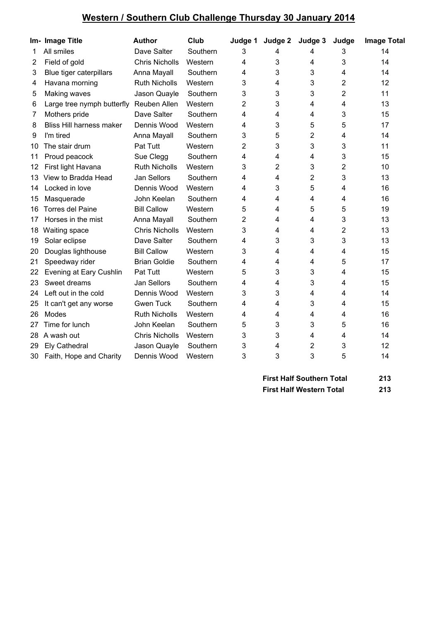## **Western / Southern Club Challenge Thursday 30 January 2014**

|    | Im- Image Title            | <b>Author</b>         | Club     | Judge 1 | Judge 2 | Judge 3 | Judge | <b>Image Total</b> |
|----|----------------------------|-----------------------|----------|---------|---------|---------|-------|--------------------|
| 1  | All smiles                 | Dave Salter           | Southern | 3       | 4       | 4       | 3     | 14                 |
| 2  | Field of gold              | <b>Chris Nicholls</b> | Western  | 4       | 3       | 4       | 3     | 14                 |
| 3  | Blue tiger caterpillars    | Anna Mayall           | Southern | 4       | 3       | 3       | 4     | 14                 |
| 4  | Havana morning             | <b>Ruth Nicholls</b>  | Western  | 3       | 4       | 3       | 2     | 12                 |
| 5  | Making waves               | Jason Quayle          | Southern | 3       | 3       | 3       | 2     | 11                 |
| 6  | Large tree nymph butterfly | Reuben Allen          | Western  | 2       | 3       | 4       | 4     | 13                 |
| 7  | Mothers pride              | Dave Salter           | Southern | 4       | 4       | 4       | 3     | 15                 |
| 8  | Bliss Hill harness maker   | Dennis Wood           | Western  | 4       | 3       | 5       | 5     | 17                 |
| 9  | I'm tired                  | Anna Mayall           | Southern | 3       | 5       | 2       | 4     | 14                 |
| 10 | The stair drum             | Pat Tutt              | Western  | 2       | 3       | 3       | 3     | 11                 |
| 11 | Proud peacock              | Sue Clegg             | Southern | 4       | 4       | 4       | 3     | 15                 |
| 12 | First light Havana         | <b>Ruth Nicholls</b>  | Western  | 3       | 2       | 3       | 2     | 10                 |
| 13 | View to Bradda Head        | <b>Jan Sellors</b>    | Southern | 4       | 4       | 2       | 3     | 13                 |
| 14 | Locked in love             | Dennis Wood           | Western  | 4       | 3       | 5       | 4     | 16                 |
| 15 | Masquerade                 | John Keelan           | Southern | 4       | 4       | 4       | 4     | 16                 |
| 16 | <b>Torres del Paine</b>    | <b>Bill Callow</b>    | Western  | 5       | 4       | 5       | 5     | 19                 |
| 17 | Horses in the mist         | Anna Mayall           | Southern | 2       | 4       | 4       | 3     | 13                 |
| 18 | Waiting space              | <b>Chris Nicholls</b> | Western  | 3       | 4       | 4       | 2     | 13                 |
| 19 | Solar eclipse              | Dave Salter           | Southern | 4       | 3       | 3       | 3     | 13                 |
| 20 | Douglas lighthouse         | <b>Bill Callow</b>    | Western  | 3       | 4       | 4       | 4     | 15                 |
| 21 | Speedway rider             | <b>Brian Goldie</b>   | Southern | 4       | 4       | 4       | 5     | 17                 |
| 22 | Evening at Eary Cushlin    | Pat Tutt              | Western  | 5       | 3       | 3       | 4     | 15                 |
| 23 | Sweet dreams               | <b>Jan Sellors</b>    | Southern | 4       | 4       | 3       | 4     | 15                 |
| 24 | Left out in the cold       | Dennis Wood           | Western  | 3       | 3       | 4       | 4     | 14                 |
| 25 | It can't get any worse     | <b>Gwen Tuck</b>      | Southern | 4       | 4       | 3       | 4     | 15                 |
| 26 | Modes                      | <b>Ruth Nicholls</b>  | Western  | 4       | 4       | 4       | 4     | 16                 |
| 27 | Time for lunch             | John Keelan           | Southern | 5       | 3       | 3       | 5     | 16                 |
| 28 | A wash out                 | <b>Chris Nicholls</b> | Western  | 3       | 3       | 4       | 4     | 14                 |
| 29 | <b>Ely Cathedral</b>       | Jason Quayle          | Southern | 3       | 4       | 2       | 3     | 12                 |
| 30 | Faith, Hope and Charity    | Dennis Wood           | Western  | 3       | 3       | 3       | 5     | 14                 |

| <b>First Half Southern Total</b> | 213 |
|----------------------------------|-----|
| <b>First Half Western Total</b>  | 213 |